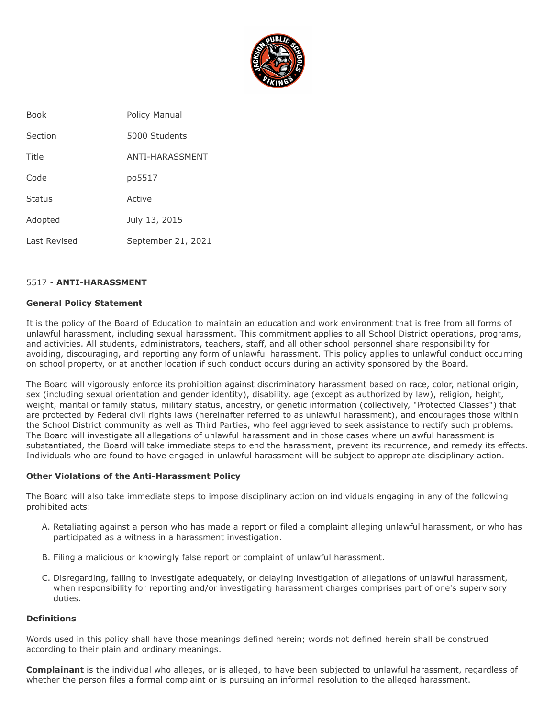

| <b>Book</b>   | Policy Manual      |
|---------------|--------------------|
| Section       | 5000 Students      |
| Title         | ANTI-HARASSMENT    |
| Code          | po5517             |
| <b>Status</b> | Active             |
| Adopted       | July 13, 2015      |
| Last Revised  | September 21, 2021 |

#### 5517 - **ANTI-HARASSMENT**

#### **General Policy Statement**

It is the policy of the Board of Education to maintain an education and work environment that is free from all forms of unlawful harassment, including sexual harassment. This commitment applies to all School District operations, programs, and activities. All students, administrators, teachers, staff, and all other school personnel share responsibility for avoiding, discouraging, and reporting any form of unlawful harassment. This policy applies to unlawful conduct occurring on school property, or at another location if such conduct occurs during an activity sponsored by the Board.

The Board will vigorously enforce its prohibition against discriminatory harassment based on race, color, national origin, sex (including sexual orientation and gender identity), disability, age (except as authorized by law), religion, height, weight, marital or family status, military status, ancestry, or genetic information (collectively, "Protected Classes") that are protected by Federal civil rights laws (hereinafter referred to as unlawful harassment), and encourages those within the School District community as well as Third Parties, who feel aggrieved to seek assistance to rectify such problems. The Board will investigate all allegations of unlawful harassment and in those cases where unlawful harassment is substantiated, the Board will take immediate steps to end the harassment, prevent its recurrence, and remedy its effects. Individuals who are found to have engaged in unlawful harassment will be subject to appropriate disciplinary action.

#### **Other Violations of the Anti-Harassment Policy**

The Board will also take immediate steps to impose disciplinary action on individuals engaging in any of the following prohibited acts:

- A. Retaliating against a person who has made a report or filed a complaint alleging unlawful harassment, or who has participated as a witness in a harassment investigation.
- B. Filing a malicious or knowingly false report or complaint of unlawful harassment.
- C. Disregarding, failing to investigate adequately, or delaying investigation of allegations of unlawful harassment, when responsibility for reporting and/or investigating harassment charges comprises part of one's supervisory duties.

## **Definitions**

Words used in this policy shall have those meanings defined herein; words not defined herein shall be construed according to their plain and ordinary meanings.

**Complainant** is the individual who alleges, or is alleged, to have been subjected to unlawful harassment, regardless of whether the person files a formal complaint or is pursuing an informal resolution to the alleged harassment.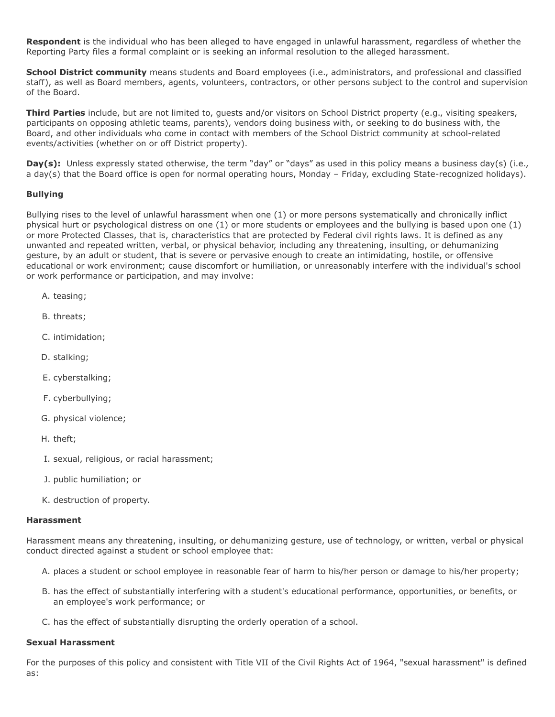**Respondent** is the individual who has been alleged to have engaged in unlawful harassment, regardless of whether the Reporting Party files a formal complaint or is seeking an informal resolution to the alleged harassment.

**School District community** means students and Board employees (i.e., administrators, and professional and classified staff), as well as Board members, agents, volunteers, contractors, or other persons subject to the control and supervision of the Board.

**Third Parties** include, but are not limited to, guests and/or visitors on School District property (e.g., visiting speakers, participants on opposing athletic teams, parents), vendors doing business with, or seeking to do business with, the Board, and other individuals who come in contact with members of the School District community at school-related events/activities (whether on or off District property).

Day(s): Unless expressly stated otherwise, the term "day" or "days" as used in this policy means a business day(s) (i.e., a day(s) that the Board office is open for normal operating hours, Monday – Friday, excluding State-recognized holidays).

## **Bullying**

Bullying rises to the level of unlawful harassment when one (1) or more persons systematically and chronically inflict physical hurt or psychological distress on one (1) or more students or employees and the bullying is based upon one (1) or more Protected Classes, that is, characteristics that are protected by Federal civil rights laws. It is defined as any unwanted and repeated written, verbal, or physical behavior, including any threatening, insulting, or dehumanizing gesture, by an adult or student, that is severe or pervasive enough to create an intimidating, hostile, or offensive educational or work environment; cause discomfort or humiliation, or unreasonably interfere with the individual's school or work performance or participation, and may involve:

- A. teasing;
- B. threats;
- C. intimidation;
- D. stalking;
- E. cyberstalking;
- F. cyberbullying;
- G. physical violence;
- H. theft;
- I. sexual, religious, or racial harassment;
- J. public humiliation; or
- K. destruction of property.

#### **Harassment**

Harassment means any threatening, insulting, or dehumanizing gesture, use of technology, or written, verbal or physical conduct directed against a student or school employee that:

- A. places a student or school employee in reasonable fear of harm to his/her person or damage to his/her property;
- B. has the effect of substantially interfering with a student's educational performance, opportunities, or benefits, or an employee's work performance; or
- C. has the effect of substantially disrupting the orderly operation of a school.

#### **Sexual Harassment**

For the purposes of this policy and consistent with Title VII of the Civil Rights Act of 1964, "sexual harassment" is defined as: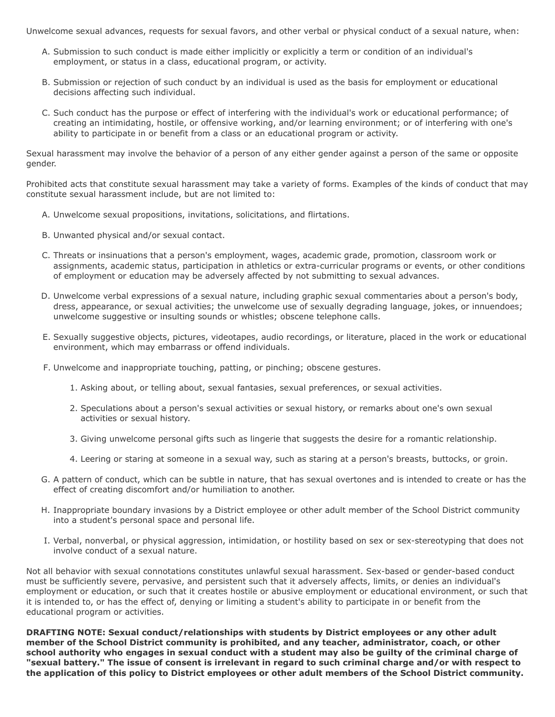Unwelcome sexual advances, requests for sexual favors, and other verbal or physical conduct of a sexual nature, when:

- A. Submission to such conduct is made either implicitly or explicitly a term or condition of an individual's employment, or status in a class, educational program, or activity.
- B. Submission or rejection of such conduct by an individual is used as the basis for employment or educational decisions affecting such individual.
- C. Such conduct has the purpose or effect of interfering with the individual's work or educational performance; of creating an intimidating, hostile, or offensive working, and/or learning environment; or of interfering with one's ability to participate in or benefit from a class or an educational program or activity.

Sexual harassment may involve the behavior of a person of any either gender against a person of the same or opposite gender.

Prohibited acts that constitute sexual harassment may take a variety of forms. Examples of the kinds of conduct that may constitute sexual harassment include, but are not limited to:

- A. Unwelcome sexual propositions, invitations, solicitations, and flirtations.
- B. Unwanted physical and/or sexual contact.
- C. Threats or insinuations that a person's employment, wages, academic grade, promotion, classroom work or assignments, academic status, participation in athletics or extra-curricular programs or events, or other conditions of employment or education may be adversely affected by not submitting to sexual advances.
- D. Unwelcome verbal expressions of a sexual nature, including graphic sexual commentaries about a person's body, dress, appearance, or sexual activities; the unwelcome use of sexually degrading language, jokes, or innuendoes; unwelcome suggestive or insulting sounds or whistles; obscene telephone calls.
- E. Sexually suggestive objects, pictures, videotapes, audio recordings, or literature, placed in the work or educational environment, which may embarrass or offend individuals.
- F. Unwelcome and inappropriate touching, patting, or pinching; obscene gestures.
	- 1. Asking about, or telling about, sexual fantasies, sexual preferences, or sexual activities.
	- 2. Speculations about a person's sexual activities or sexual history, or remarks about one's own sexual activities or sexual history.
	- 3. Giving unwelcome personal gifts such as lingerie that suggests the desire for a romantic relationship.
	- 4. Leering or staring at someone in a sexual way, such as staring at a person's breasts, buttocks, or groin.
- G. A pattern of conduct, which can be subtle in nature, that has sexual overtones and is intended to create or has the effect of creating discomfort and/or humiliation to another.
- H. Inappropriate boundary invasions by a District employee or other adult member of the School District community into a student's personal space and personal life.
- I. Verbal, nonverbal, or physical aggression, intimidation, or hostility based on sex or sex-stereotyping that does not involve conduct of a sexual nature.

Not all behavior with sexual connotations constitutes unlawful sexual harassment. Sex-based or gender-based conduct must be sufficiently severe, pervasive, and persistent such that it adversely affects, limits, or denies an individual's employment or education, or such that it creates hostile or abusive employment or educational environment, or such that it is intended to, or has the effect of, denying or limiting a student's ability to participate in or benefit from the educational program or activities.

**DRAFTING NOTE: Sexual conduct/relationships with students by District employees or any other adult member of the School District community is prohibited, and any teacher, administrator, coach, or other school authority who engages in sexual conduct with a student may also be guilty of the criminal charge of "sexual battery." The issue of consent is irrelevant in regard to such criminal charge and/or with respect to the application of this policy to District employees or other adult members of the School District community.**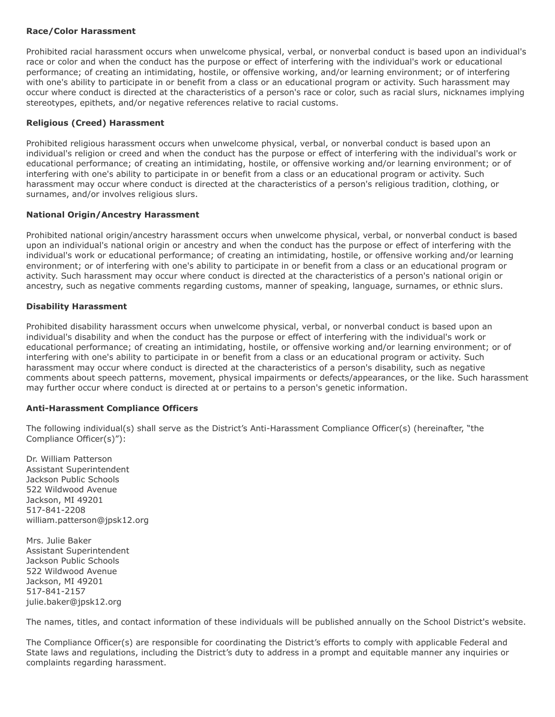## **Race/Color Harassment**

Prohibited racial harassment occurs when unwelcome physical, verbal, or nonverbal conduct is based upon an individual's race or color and when the conduct has the purpose or effect of interfering with the individual's work or educational performance; of creating an intimidating, hostile, or offensive working, and/or learning environment; or of interfering with one's ability to participate in or benefit from a class or an educational program or activity. Such harassment may occur where conduct is directed at the characteristics of a person's race or color, such as racial slurs, nicknames implying stereotypes, epithets, and/or negative references relative to racial customs.

## **Religious (Creed) Harassment**

Prohibited religious harassment occurs when unwelcome physical, verbal, or nonverbal conduct is based upon an individual's religion or creed and when the conduct has the purpose or effect of interfering with the individual's work or educational performance; of creating an intimidating, hostile, or offensive working and/or learning environment; or of interfering with one's ability to participate in or benefit from a class or an educational program or activity. Such harassment may occur where conduct is directed at the characteristics of a person's religious tradition, clothing, or surnames, and/or involves religious slurs.

## **National Origin/Ancestry Harassment**

Prohibited national origin/ancestry harassment occurs when unwelcome physical, verbal, or nonverbal conduct is based upon an individual's national origin or ancestry and when the conduct has the purpose or effect of interfering with the individual's work or educational performance; of creating an intimidating, hostile, or offensive working and/or learning environment; or of interfering with one's ability to participate in or benefit from a class or an educational program or activity. Such harassment may occur where conduct is directed at the characteristics of a person's national origin or ancestry, such as negative comments regarding customs, manner of speaking, language, surnames, or ethnic slurs.

## **Disability Harassment**

Prohibited disability harassment occurs when unwelcome physical, verbal, or nonverbal conduct is based upon an individual's disability and when the conduct has the purpose or effect of interfering with the individual's work or educational performance; of creating an intimidating, hostile, or offensive working and/or learning environment; or of interfering with one's ability to participate in or benefit from a class or an educational program or activity. Such harassment may occur where conduct is directed at the characteristics of a person's disability, such as negative comments about speech patterns, movement, physical impairments or defects/appearances, or the like. Such harassment may further occur where conduct is directed at or pertains to a person's genetic information.

## **Anti-Harassment Compliance Officers**

The following individual(s) shall serve as the District's Anti-Harassment Compliance Officer(s) (hereinafter, "the Compliance Officer(s)"):

Dr. William Patterson Assistant Superintendent Jackson Public Schools 522 Wildwood Avenue Jackson, MI 49201 517-841-2208 william.patterson@jpsk12.org

Mrs. Julie Baker Assistant Superintendent Jackson Public Schools 522 Wildwood Avenue Jackson, MI 49201 517-841-2157 julie.baker@jpsk12.org

The names, titles, and contact information of these individuals will be published annually on the School District's website.

The Compliance Officer(s) are responsible for coordinating the District's efforts to comply with applicable Federal and State laws and regulations, including the District's duty to address in a prompt and equitable manner any inquiries or complaints regarding harassment.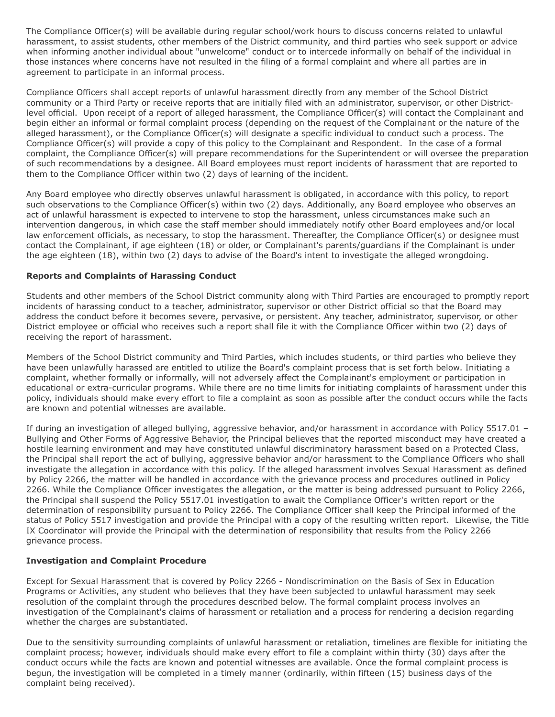The Compliance Officer(s) will be available during regular school/work hours to discuss concerns related to unlawful harassment, to assist students, other members of the District community, and third parties who seek support or advice when informing another individual about "unwelcome" conduct or to intercede informally on behalf of the individual in those instances where concerns have not resulted in the filing of a formal complaint and where all parties are in agreement to participate in an informal process.

Compliance Officers shall accept reports of unlawful harassment directly from any member of the School District community or a Third Party or receive reports that are initially filed with an administrator, supervisor, or other Districtlevel official. Upon receipt of a report of alleged harassment, the Compliance Officer(s) will contact the Complainant and begin either an informal or formal complaint process (depending on the request of the Complainant or the nature of the alleged harassment), or the Compliance Officer(s) will designate a specific individual to conduct such a process. The Compliance Officer(s) will provide a copy of this policy to the Complainant and Respondent. In the case of a formal complaint, the Compliance Officer(s) will prepare recommendations for the Superintendent or will oversee the preparation of such recommendations by a designee. All Board employees must report incidents of harassment that are reported to them to the Compliance Officer within two (2) days of learning of the incident.

Any Board employee who directly observes unlawful harassment is obligated, in accordance with this policy, to report such observations to the Compliance Officer(s) within two (2) days. Additionally, any Board employee who observes an act of unlawful harassment is expected to intervene to stop the harassment, unless circumstances make such an intervention dangerous, in which case the staff member should immediately notify other Board employees and/or local law enforcement officials, as necessary, to stop the harassment. Thereafter, the Compliance Officer(s) or designee must contact the Complainant, if age eighteen (18) or older, or Complainant's parents/guardians if the Complainant is under the age eighteen (18), within two (2) days to advise of the Board's intent to investigate the alleged wrongdoing.

## **Reports and Complaints of Harassing Conduct**

Students and other members of the School District community along with Third Parties are encouraged to promptly report incidents of harassing conduct to a teacher, administrator, supervisor or other District official so that the Board may address the conduct before it becomes severe, pervasive, or persistent. Any teacher, administrator, supervisor, or other District employee or official who receives such a report shall file it with the Compliance Officer within two (2) days of receiving the report of harassment.

Members of the School District community and Third Parties, which includes students, or third parties who believe they have been unlawfully harassed are entitled to utilize the Board's complaint process that is set forth below. Initiating a complaint, whether formally or informally, will not adversely affect the Complainant's employment or participation in educational or extra-curricular programs. While there are no time limits for initiating complaints of harassment under this policy, individuals should make every effort to file a complaint as soon as possible after the conduct occurs while the facts are known and potential witnesses are available.

If during an investigation of alleged bullying, aggressive behavior, and/or harassment in accordance with Policy 5517.01 – Bullying and Other Forms of Aggressive Behavior, the Principal believes that the reported misconduct may have created a hostile learning environment and may have constituted unlawful discriminatory harassment based on a Protected Class, the Principal shall report the act of bullying, aggressive behavior and/or harassment to the Compliance Officers who shall investigate the allegation in accordance with this policy. If the alleged harassment involves Sexual Harassment as defined by Policy 2266, the matter will be handled in accordance with the grievance process and procedures outlined in Policy 2266. While the Compliance Officer investigates the allegation, or the matter is being addressed pursuant to Policy 2266, the Principal shall suspend the Policy 5517.01 investigation to await the Compliance Officer's written report or the determination of responsibility pursuant to Policy 2266. The Compliance Officer shall keep the Principal informed of the status of Policy 5517 investigation and provide the Principal with a copy of the resulting written report. Likewise, the Title IX Coordinator will provide the Principal with the determination of responsibility that results from the Policy 2266 grievance process.

## **Investigation and Complaint Procedure**

Except for Sexual Harassment that is covered by Policy 2266 - Nondiscrimination on the Basis of Sex in Education Programs or Activities, any student who believes that they have been subjected to unlawful harassment may seek resolution of the complaint through the procedures described below. The formal complaint process involves an investigation of the Complainant's claims of harassment or retaliation and a process for rendering a decision regarding whether the charges are substantiated.

Due to the sensitivity surrounding complaints of unlawful harassment or retaliation, timelines are flexible for initiating the complaint process; however, individuals should make every effort to file a complaint within thirty (30) days after the conduct occurs while the facts are known and potential witnesses are available. Once the formal complaint process is begun, the investigation will be completed in a timely manner (ordinarily, within fifteen (15) business days of the complaint being received).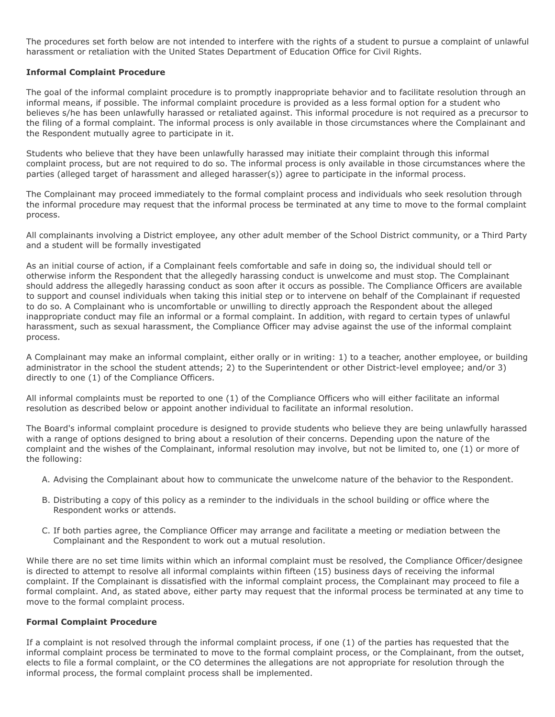The procedures set forth below are not intended to interfere with the rights of a student to pursue a complaint of unlawful harassment or retaliation with the United States Department of Education Office for Civil Rights.

## **Informal Complaint Procedure**

The goal of the informal complaint procedure is to promptly inappropriate behavior and to facilitate resolution through an informal means, if possible. The informal complaint procedure is provided as a less formal option for a student who believes s/he has been unlawfully harassed or retaliated against. This informal procedure is not required as a precursor to the filing of a formal complaint. The informal process is only available in those circumstances where the Complainant and the Respondent mutually agree to participate in it.

Students who believe that they have been unlawfully harassed may initiate their complaint through this informal complaint process, but are not required to do so. The informal process is only available in those circumstances where the parties (alleged target of harassment and alleged harasser(s)) agree to participate in the informal process.

The Complainant may proceed immediately to the formal complaint process and individuals who seek resolution through the informal procedure may request that the informal process be terminated at any time to move to the formal complaint process.

All complainants involving a District employee, any other adult member of the School District community, or a Third Party and a student will be formally investigated

As an initial course of action, if a Complainant feels comfortable and safe in doing so, the individual should tell or otherwise inform the Respondent that the allegedly harassing conduct is unwelcome and must stop. The Complainant should address the allegedly harassing conduct as soon after it occurs as possible. The Compliance Officers are available to support and counsel individuals when taking this initial step or to intervene on behalf of the Complainant if requested to do so. A Complainant who is uncomfortable or unwilling to directly approach the Respondent about the alleged inappropriate conduct may file an informal or a formal complaint. In addition, with regard to certain types of unlawful harassment, such as sexual harassment, the Compliance Officer may advise against the use of the informal complaint process.

A Complainant may make an informal complaint, either orally or in writing: 1) to a teacher, another employee, or building administrator in the school the student attends; 2) to the Superintendent or other District-level employee; and/or 3) directly to one (1) of the Compliance Officers.

All informal complaints must be reported to one (1) of the Compliance Officers who will either facilitate an informal resolution as described below or appoint another individual to facilitate an informal resolution.

The Board's informal complaint procedure is designed to provide students who believe they are being unlawfully harassed with a range of options designed to bring about a resolution of their concerns. Depending upon the nature of the complaint and the wishes of the Complainant, informal resolution may involve, but not be limited to, one (1) or more of the following:

- A. Advising the Complainant about how to communicate the unwelcome nature of the behavior to the Respondent.
- B. Distributing a copy of this policy as a reminder to the individuals in the school building or office where the Respondent works or attends.
- C. If both parties agree, the Compliance Officer may arrange and facilitate a meeting or mediation between the Complainant and the Respondent to work out a mutual resolution.

While there are no set time limits within which an informal complaint must be resolved, the Compliance Officer/designee is directed to attempt to resolve all informal complaints within fifteen (15) business days of receiving the informal complaint. If the Complainant is dissatisfied with the informal complaint process, the Complainant may proceed to file a formal complaint. And, as stated above, either party may request that the informal process be terminated at any time to move to the formal complaint process.

## **Formal Complaint Procedure**

If a complaint is not resolved through the informal complaint process, if one (1) of the parties has requested that the informal complaint process be terminated to move to the formal complaint process, or the Complainant, from the outset, elects to file a formal complaint, or the CO determines the allegations are not appropriate for resolution through the informal process, the formal complaint process shall be implemented.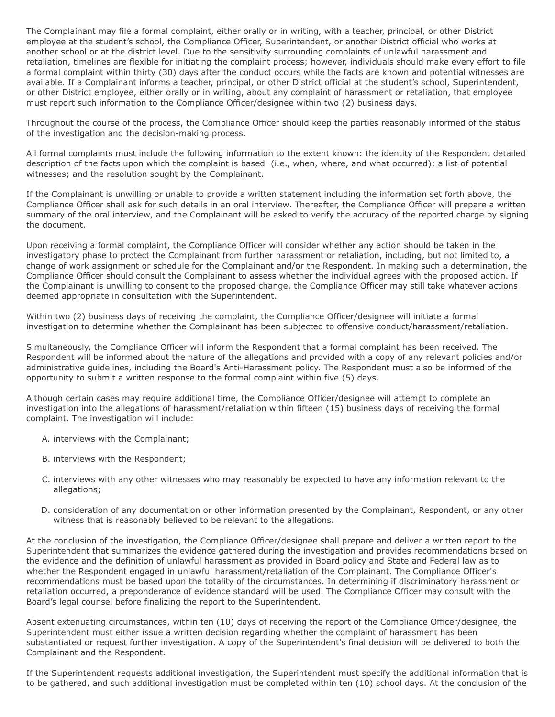The Complainant may file a formal complaint, either orally or in writing, with a teacher, principal, or other District employee at the student's school, the Compliance Officer, Superintendent, or another District official who works at another school or at the district level. Due to the sensitivity surrounding complaints of unlawful harassment and retaliation, timelines are flexible for initiating the complaint process; however, individuals should make every effort to file a formal complaint within thirty (30) days after the conduct occurs while the facts are known and potential witnesses are available. If a Complainant informs a teacher, principal, or other District official at the student's school, Superintendent, or other District employee, either orally or in writing, about any complaint of harassment or retaliation, that employee must report such information to the Compliance Officer/designee within two (2) business days.

Throughout the course of the process, the Compliance Officer should keep the parties reasonably informed of the status of the investigation and the decision-making process.

All formal complaints must include the following information to the extent known: the identity of the Respondent detailed description of the facts upon which the complaint is based (i.e., when, where, and what occurred); a list of potential witnesses; and the resolution sought by the Complainant.

If the Complainant is unwilling or unable to provide a written statement including the information set forth above, the Compliance Officer shall ask for such details in an oral interview. Thereafter, the Compliance Officer will prepare a written summary of the oral interview, and the Complainant will be asked to verify the accuracy of the reported charge by signing the document.

Upon receiving a formal complaint, the Compliance Officer will consider whether any action should be taken in the investigatory phase to protect the Complainant from further harassment or retaliation, including, but not limited to, a change of work assignment or schedule for the Complainant and/or the Respondent. In making such a determination, the Compliance Officer should consult the Complainant to assess whether the individual agrees with the proposed action. If the Complainant is unwilling to consent to the proposed change, the Compliance Officer may still take whatever actions deemed appropriate in consultation with the Superintendent.

Within two (2) business days of receiving the complaint, the Compliance Officer/designee will initiate a formal investigation to determine whether the Complainant has been subjected to offensive conduct/harassment/retaliation.

Simultaneously, the Compliance Officer will inform the Respondent that a formal complaint has been received. The Respondent will be informed about the nature of the allegations and provided with a copy of any relevant policies and/or administrative guidelines, including the Board's Anti-Harassment policy. The Respondent must also be informed of the opportunity to submit a written response to the formal complaint within five (5) days.

Although certain cases may require additional time, the Compliance Officer/designee will attempt to complete an investigation into the allegations of harassment/retaliation within fifteen (15) business days of receiving the formal complaint. The investigation will include:

- A. interviews with the Complainant;
- B. interviews with the Respondent;
- C. interviews with any other witnesses who may reasonably be expected to have any information relevant to the allegations;
- D. consideration of any documentation or other information presented by the Complainant, Respondent, or any other witness that is reasonably believed to be relevant to the allegations.

At the conclusion of the investigation, the Compliance Officer/designee shall prepare and deliver a written report to the Superintendent that summarizes the evidence gathered during the investigation and provides recommendations based on the evidence and the definition of unlawful harassment as provided in Board policy and State and Federal law as to whether the Respondent engaged in unlawful harassment/retaliation of the Complainant. The Compliance Officer's recommendations must be based upon the totality of the circumstances. In determining if discriminatory harassment or retaliation occurred, a preponderance of evidence standard will be used. The Compliance Officer may consult with the Board's legal counsel before finalizing the report to the Superintendent.

Absent extenuating circumstances, within ten (10) days of receiving the report of the Compliance Officer/designee, the Superintendent must either issue a written decision regarding whether the complaint of harassment has been substantiated or request further investigation. A copy of the Superintendent's final decision will be delivered to both the Complainant and the Respondent.

If the Superintendent requests additional investigation, the Superintendent must specify the additional information that is to be gathered, and such additional investigation must be completed within ten (10) school days. At the conclusion of the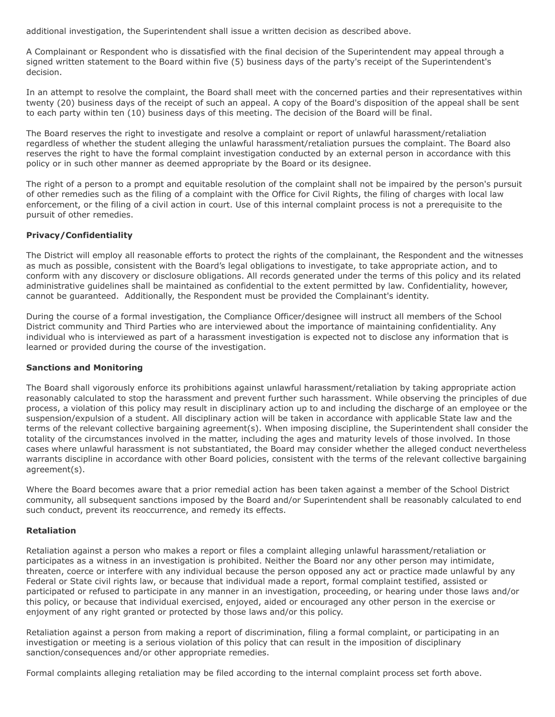additional investigation, the Superintendent shall issue a written decision as described above.

A Complainant or Respondent who is dissatisfied with the final decision of the Superintendent may appeal through a signed written statement to the Board within five (5) business days of the party's receipt of the Superintendent's decision.

In an attempt to resolve the complaint, the Board shall meet with the concerned parties and their representatives within twenty (20) business days of the receipt of such an appeal. A copy of the Board's disposition of the appeal shall be sent to each party within ten (10) business days of this meeting. The decision of the Board will be final.

The Board reserves the right to investigate and resolve a complaint or report of unlawful harassment/retaliation regardless of whether the student alleging the unlawful harassment/retaliation pursues the complaint. The Board also reserves the right to have the formal complaint investigation conducted by an external person in accordance with this policy or in such other manner as deemed appropriate by the Board or its designee.

The right of a person to a prompt and equitable resolution of the complaint shall not be impaired by the person's pursuit of other remedies such as the filing of a complaint with the Office for Civil Rights, the filing of charges with local law enforcement, or the filing of a civil action in court. Use of this internal complaint process is not a prerequisite to the pursuit of other remedies.

## **Privacy/Confidentiality**

The District will employ all reasonable efforts to protect the rights of the complainant, the Respondent and the witnesses as much as possible, consistent with the Board's legal obligations to investigate, to take appropriate action, and to conform with any discovery or disclosure obligations. All records generated under the terms of this policy and its related administrative guidelines shall be maintained as confidential to the extent permitted by law. Confidentiality, however, cannot be guaranteed. Additionally, the Respondent must be provided the Complainant's identity.

During the course of a formal investigation, the Compliance Officer/designee will instruct all members of the School District community and Third Parties who are interviewed about the importance of maintaining confidentiality. Any individual who is interviewed as part of a harassment investigation is expected not to disclose any information that is learned or provided during the course of the investigation.

## **Sanctions and Monitoring**

The Board shall vigorously enforce its prohibitions against unlawful harassment/retaliation by taking appropriate action reasonably calculated to stop the harassment and prevent further such harassment. While observing the principles of due process, a violation of this policy may result in disciplinary action up to and including the discharge of an employee or the suspension/expulsion of a student. All disciplinary action will be taken in accordance with applicable State law and the terms of the relevant collective bargaining agreement(s). When imposing discipline, the Superintendent shall consider the totality of the circumstances involved in the matter, including the ages and maturity levels of those involved. In those cases where unlawful harassment is not substantiated, the Board may consider whether the alleged conduct nevertheless warrants discipline in accordance with other Board policies, consistent with the terms of the relevant collective bargaining agreement(s).

Where the Board becomes aware that a prior remedial action has been taken against a member of the School District community, all subsequent sanctions imposed by the Board and/or Superintendent shall be reasonably calculated to end such conduct, prevent its reoccurrence, and remedy its effects.

## **Retaliation**

Retaliation against a person who makes a report or files a complaint alleging unlawful harassment/retaliation or participates as a witness in an investigation is prohibited. Neither the Board nor any other person may intimidate, threaten, coerce or interfere with any individual because the person opposed any act or practice made unlawful by any Federal or State civil rights law, or because that individual made a report, formal complaint testified, assisted or participated or refused to participate in any manner in an investigation, proceeding, or hearing under those laws and/or this policy, or because that individual exercised, enjoyed, aided or encouraged any other person in the exercise or enjoyment of any right granted or protected by those laws and/or this policy.

Retaliation against a person from making a report of discrimination, filing a formal complaint, or participating in an investigation or meeting is a serious violation of this policy that can result in the imposition of disciplinary sanction/consequences and/or other appropriate remedies.

Formal complaints alleging retaliation may be filed according to the internal complaint process set forth above.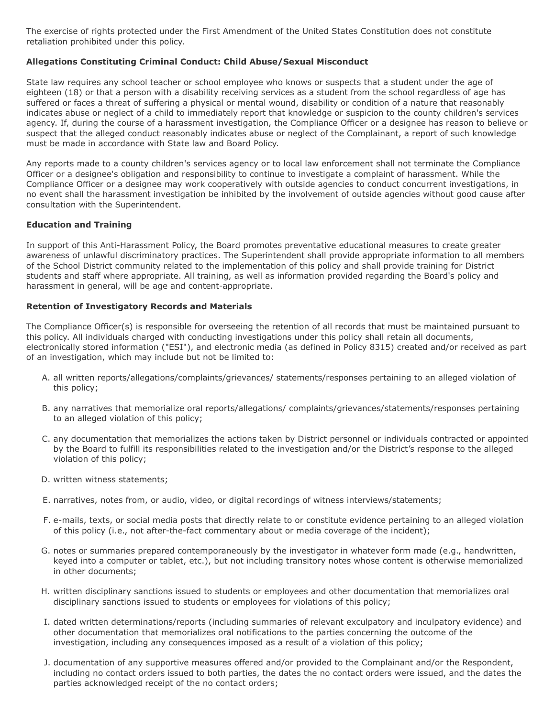The exercise of rights protected under the First Amendment of the United States Constitution does not constitute retaliation prohibited under this policy.

## **Allegations Constituting Criminal Conduct: Child Abuse/Sexual Misconduct**

State law requires any school teacher or school employee who knows or suspects that a student under the age of eighteen (18) or that a person with a disability receiving services as a student from the school regardless of age has suffered or faces a threat of suffering a physical or mental wound, disability or condition of a nature that reasonably indicates abuse or neglect of a child to immediately report that knowledge or suspicion to the county children's services agency. If, during the course of a harassment investigation, the Compliance Officer or a designee has reason to believe or suspect that the alleged conduct reasonably indicates abuse or neglect of the Complainant, a report of such knowledge must be made in accordance with State law and Board Policy.

Any reports made to a county children's services agency or to local law enforcement shall not terminate the Compliance Officer or a designee's obligation and responsibility to continue to investigate a complaint of harassment. While the Compliance Officer or a designee may work cooperatively with outside agencies to conduct concurrent investigations, in no event shall the harassment investigation be inhibited by the involvement of outside agencies without good cause after consultation with the Superintendent.

## **Education and Training**

In support of this Anti-Harassment Policy, the Board promotes preventative educational measures to create greater awareness of unlawful discriminatory practices. The Superintendent shall provide appropriate information to all members of the School District community related to the implementation of this policy and shall provide training for District students and staff where appropriate. All training, as well as information provided regarding the Board's policy and harassment in general, will be age and content-appropriate.

#### **Retention of Investigatory Records and Materials**

The Compliance Officer(s) is responsible for overseeing the retention of all records that must be maintained pursuant to this policy. All individuals charged with conducting investigations under this policy shall retain all documents, electronically stored information ("ESI"), and electronic media (as defined in Policy 8315) created and/or received as part of an investigation, which may include but not be limited to:

- A. all written reports/allegations/complaints/grievances/ statements/responses pertaining to an alleged violation of this policy;
- B. any narratives that memorialize oral reports/allegations/ complaints/grievances/statements/responses pertaining to an alleged violation of this policy;
- C. any documentation that memorializes the actions taken by District personnel or individuals contracted or appointed by the Board to fulfill its responsibilities related to the investigation and/or the District's response to the alleged violation of this policy;
- D. written witness statements;
- E. narratives, notes from, or audio, video, or digital recordings of witness interviews/statements;
- F. e-mails, texts, or social media posts that directly relate to or constitute evidence pertaining to an alleged violation of this policy (i.e., not after-the-fact commentary about or media coverage of the incident);
- G. notes or summaries prepared contemporaneously by the investigator in whatever form made (e.g., handwritten, keyed into a computer or tablet, etc.), but not including transitory notes whose content is otherwise memorialized in other documents;
- H. written disciplinary sanctions issued to students or employees and other documentation that memorializes oral disciplinary sanctions issued to students or employees for violations of this policy;
- I. dated written determinations/reports (including summaries of relevant exculpatory and inculpatory evidence) and other documentation that memorializes oral notifications to the parties concerning the outcome of the investigation, including any consequences imposed as a result of a violation of this policy;
- J. documentation of any supportive measures offered and/or provided to the Complainant and/or the Respondent, including no contact orders issued to both parties, the dates the no contact orders were issued, and the dates the parties acknowledged receipt of the no contact orders;